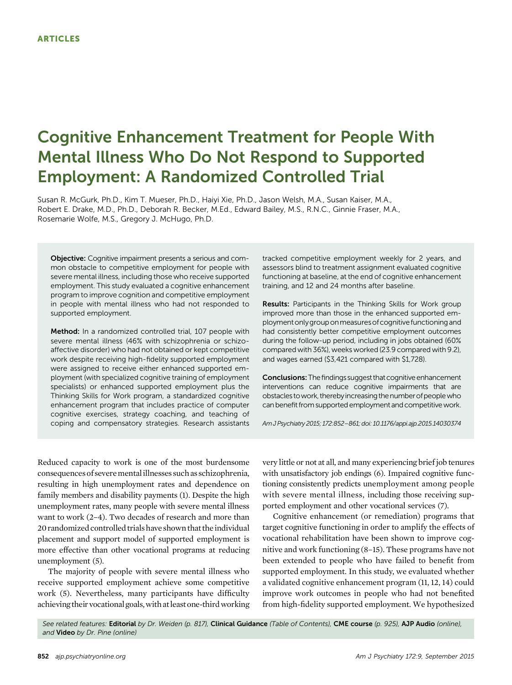# Cognitive Enhancement Treatment for People With Mental Illness Who Do Not Respond to Supported Employment: A Randomized Controlled Trial

Susan R. McGurk, Ph.D., Kim T. Mueser, Ph.D., Haiyi Xie, Ph.D., Jason Welsh, M.A., Susan Kaiser, M.A., Robert E. Drake, M.D., Ph.D., Deborah R. Becker, M.Ed., Edward Bailey, M.S., R.N.C., Ginnie Fraser, M.A., Rosemarie Wolfe, M.S., Gregory J. McHugo, Ph.D.

Objective: Cognitive impairment presents a serious and common obstacle to competitive employment for people with severe mental illness, including those who receive supported employment. This study evaluated a cognitive enhancement program to improve cognition and competitive employment in people with mental illness who had not responded to supported employment.

Method: In a randomized controlled trial, 107 people with severe mental illness (46% with schizophrenia or schizoaffective disorder) who had not obtained or kept competitive work despite receiving high-fidelity supported employment were assigned to receive either enhanced supported employment (with specialized cognitive training of employment specialists) or enhanced supported employment plus the Thinking Skills for Work program, a standardized cognitive enhancement program that includes practice of computer cognitive exercises, strategy coaching, and teaching of coping and compensatory strategies. Research assistants tracked competitive employment weekly for 2 years, and assessors blind to treatment assignment evaluated cognitive functioning at baseline, at the end of cognitive enhancement training, and 12 and 24 months after baseline.

Results: Participants in the Thinking Skills for Work group improved more than those in the enhanced supported employmentonlygrouponmeasuresofcognitive functioning and had consistently better competitive employment outcomes during the follow-up period, including in jobs obtained (60% compared with 36%), weeks worked (23.9 compared with 9.2), and wages earned (\$3,421 compared with \$1,728).

Conclusions: The findings suggest that cognitive enhancement interventions can reduce cognitive impairments that are obstacles to work, thereby increasing the number of people who can benefit from supported employment and competitive work.

Am J Psychiatry 2015; 172:852–861; doi: 10.1176/appi.ajp.2015.14030374

Reduced capacity to work is one of the most burdensome consequences of severementalillnesses suchas schizophrenia, resulting in high unemployment rates and dependence on family members and disability payments (1). Despite the high unemployment rates, many people with severe mental illness want to work (2–4). Two decades of research and more than 20 randomized controlled trials have shown that the individual placement and support model of supported employment is more effective than other vocational programs at reducing unemployment (5).

The majority of people with severe mental illness who receive supported employment achieve some competitive work (5). Nevertheless, many participants have difficulty achieving their vocational goals, with at least one-third working very little or not at all, and many experiencing brief job tenures with unsatisfactory job endings (6). Impaired cognitive functioning consistently predicts unemployment among people with severe mental illness, including those receiving supported employment and other vocational services (7).

Cognitive enhancement (or remediation) programs that target cognitive functioning in order to amplify the effects of vocational rehabilitation have been shown to improve cognitive and work functioning (8–15). These programs have not been extended to people who have failed to benefit from supported employment. In this study, we evaluated whether a validated cognitive enhancement program (11, 12, 14) could improve work outcomes in people who had not benefited from high-fidelity supported employment. We hypothesized

See related features: Editorial by Dr. Weiden (p. 817), Clinical Guidance (Table of Contents), CME course (p. 925), AJP Audio (online), and Video by Dr. Pine (online)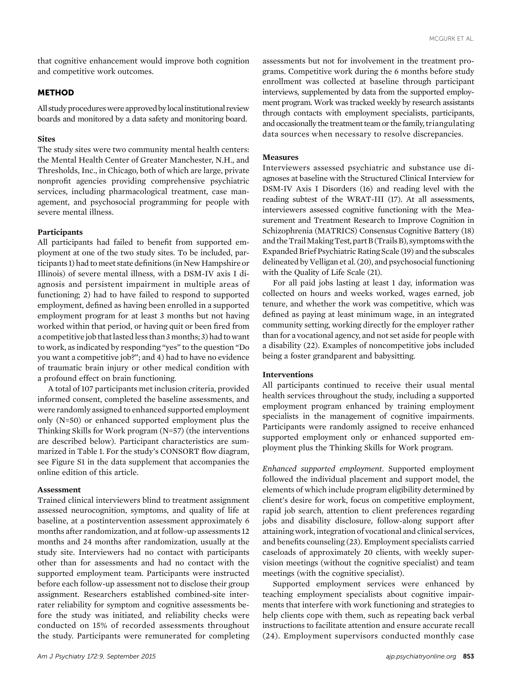that cognitive enhancement would improve both cognition and competitive work outcomes.

# METHOD

All study procedures were approved by local institutional review boards and monitored by a data safety and monitoring board.

#### **Sites**

The study sites were two community mental health centers: the Mental Health Center of Greater Manchester, N.H., and Thresholds, Inc., in Chicago, both of which are large, private nonprofit agencies providing comprehensive psychiatric services, including pharmacological treatment, case management, and psychosocial programming for people with severe mental illness.

#### Participants

All participants had failed to benefit from supported employment at one of the two study sites. To be included, participants 1) had tomeet state definitions (in New Hampshire or Illinois) of severe mental illness, with a DSM-IV axis I diagnosis and persistent impairment in multiple areas of functioning; 2) had to have failed to respond to supported employment, defined as having been enrolled in a supported employment program for at least 3 months but not having worked within that period, or having quit or been fired from a competitive job that lasted less than 3 months; 3) had to want to work, as indicated by responding "yes" to the question "Do you want a competitive job?"; and 4) had to have no evidence of traumatic brain injury or other medical condition with a profound effect on brain functioning.

A total of 107 participants met inclusion criteria, provided informed consent, completed the baseline assessments, and were randomly assigned to enhanced supported employment only (N=50) or enhanced supported employment plus the Thinking Skills for Work program (N=57) (the interventions are described below). Participant characteristics are summarized in Table 1. For the study's CONSORT flow diagram, see Figure S1 in the data supplement that accompanies the online edition of this article.

#### Assessment

Trained clinical interviewers blind to treatment assignment assessed neurocognition, symptoms, and quality of life at baseline, at a postintervention assessment approximately 6 months after randomization, and at follow-up assessments 12 months and 24 months after randomization, usually at the study site. Interviewers had no contact with participants other than for assessments and had no contact with the supported employment team. Participants were instructed before each follow-up assessment not to disclose their group assignment. Researchers established combined-site interrater reliability for symptom and cognitive assessments before the study was initiated, and reliability checks were conducted on 15% of recorded assessments throughout the study. Participants were remunerated for completing

assessments but not for involvement in the treatment programs. Competitive work during the 6 months before study enrollment was collected at baseline through participant interviews, supplemented by data from the supported employment program. Work was tracked weekly by research assistants through contacts with employment specialists, participants, and occasionally the treatment team or the family, triangulating data sources when necessary to resolve discrepancies.

## Measures

Interviewers assessed psychiatric and substance use diagnoses at baseline with the Structured Clinical Interview for DSM-IV Axis I Disorders (16) and reading level with the reading subtest of the WRAT-III (17). At all assessments, interviewers assessed cognitive functioning with the Measurement and Treatment Research to Improve Cognition in Schizophrenia (MATRICS) Consensus Cognitive Battery (18) and the Trail Making Test, part B (Trails B), symptoms with the Expanded Brief Psychiatric Rating Scale (19) and the subscales delineated by Velligan et al. (20), and psychosocial functioning with the Quality of Life Scale (21).

For all paid jobs lasting at least 1 day, information was collected on hours and weeks worked, wages earned, job tenure, and whether the work was competitive, which was defined as paying at least minimum wage, in an integrated community setting, working directly for the employer rather than for a vocational agency, and not set aside for people with a disability (22). Examples of noncompetitive jobs included being a foster grandparent and babysitting.

# Interventions

All participants continued to receive their usual mental health services throughout the study, including a supported employment program enhanced by training employment specialists in the management of cognitive impairments. Participants were randomly assigned to receive enhanced supported employment only or enhanced supported employment plus the Thinking Skills for Work program.

Enhanced supported employment. Supported employment followed the individual placement and support model, the elements of which include program eligibility determined by client's desire for work, focus on competitive employment, rapid job search, attention to client preferences regarding jobs and disability disclosure, follow-along support after attaining work, integration of vocational and clinical services, and benefits counseling (23). Employment specialists carried caseloads of approximately 20 clients, with weekly supervision meetings (without the cognitive specialist) and team meetings (with the cognitive specialist).

Supported employment services were enhanced by teaching employment specialists about cognitive impairments that interfere with work functioning and strategies to help clients cope with them, such as repeating back verbal instructions to facilitate attention and ensure accurate recall (24). Employment supervisors conducted monthly case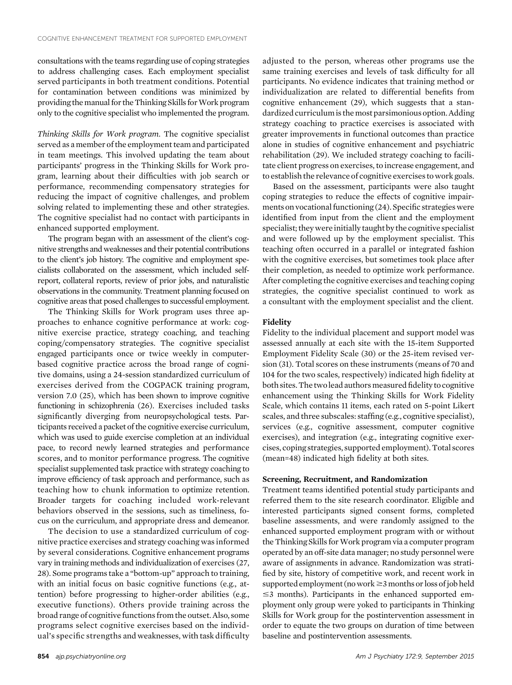consultations with the teams regarding use of coping strategies to address challenging cases. Each employment specialist served participants in both treatment conditions. Potential for contamination between conditions was minimized by providing the manual for the Thinking Skills for Work program only to the cognitive specialist who implemented the program.

Thinking Skills for Work program. The cognitive specialist served as a member of the employment team and participated in team meetings. This involved updating the team about participants' progress in the Thinking Skills for Work program, learning about their difficulties with job search or performance, recommending compensatory strategies for reducing the impact of cognitive challenges, and problem solving related to implementing these and other strategies. The cognitive specialist had no contact with participants in enhanced supported employment.

The program began with an assessment of the client's cognitive strengths and weaknesses and their potential contributions to the client's job history. The cognitive and employment specialists collaborated on the assessment, which included selfreport, collateral reports, review of prior jobs, and naturalistic observations in the community. Treatment planning focused on cognitive areas that posed challenges to successful employment.

The Thinking Skills for Work program uses three approaches to enhance cognitive performance at work: cognitive exercise practice, strategy coaching, and teaching coping/compensatory strategies. The cognitive specialist engaged participants once or twice weekly in computerbased cognitive practice across the broad range of cognitive domains, using a 24-session standardized curriculum of exercises derived from the COGPACK training program, version 7.0 (25), which has been shown to improve cognitive functioning in schizophrenia (26). Exercises included tasks significantly diverging from neuropsychological tests. Participants received a packet of the cognitive exercise curriculum, which was used to guide exercise completion at an individual pace, to record newly learned strategies and performance scores, and to monitor performance progress. The cognitive specialist supplemented task practice with strategy coaching to improve efficiency of task approach and performance, such as teaching how to chunk information to optimize retention. Broader targets for coaching included work-relevant behaviors observed in the sessions, such as timeliness, focus on the curriculum, and appropriate dress and demeanor.

The decision to use a standardized curriculum of cognitive practice exercises and strategy coaching was informed by several considerations. Cognitive enhancement programs vary in training methods and individualization of exercises (27, 28). Some programs take a "bottom-up" approach to training, with an initial focus on basic cognitive functions (e.g., attention) before progressing to higher-order abilities (e.g., executive functions). Others provide training across the broad range of cognitive functions from the outset. Also, some programs select cognitive exercises based on the individual's specific strengths and weaknesses, with task difficulty

adjusted to the person, whereas other programs use the same training exercises and levels of task difficulty for all participants. No evidence indicates that training method or individualization are related to differential benefits from cognitive enhancement (29), which suggests that a standardized curriculumis themost parsimonious option. Adding strategy coaching to practice exercises is associated with greater improvements in functional outcomes than practice alone in studies of cognitive enhancement and psychiatric rehabilitation (29). We included strategy coaching to facilitate client progress on exercises, to increase engagement, and to establish the relevance of cognitive exercises to work goals.

Based on the assessment, participants were also taught coping strategies to reduce the effects of cognitive impairments on vocational functioning (24). Specific strategies were identified from input from the client and the employment specialist; they were initially taught by the cognitive specialist and were followed up by the employment specialist. This teaching often occurred in a parallel or integrated fashion with the cognitive exercises, but sometimes took place after their completion, as needed to optimize work performance. After completing the cognitive exercises and teaching coping strategies, the cognitive specialist continued to work as a consultant with the employment specialist and the client.

# Fidelity

Fidelity to the individual placement and support model was assessed annually at each site with the 15-item Supported Employment Fidelity Scale (30) or the 25-item revised version (31). Total scores on these instruments (means of 70 and 104 for the two scales, respectively) indicated high fidelity at both sites. The two lead authors measured fidelity to cognitive enhancement using the Thinking Skills for Work Fidelity Scale, which contains 11 items, each rated on 5-point Likert scales, and three subscales: staffing (e.g., cognitive specialist), services (e.g., cognitive assessment, computer cognitive exercises), and integration (e.g., integrating cognitive exercises, coping strategies, supported employment). Total scores (mean=48) indicated high fidelity at both sites.

## Screening, Recruitment, and Randomization

Treatment teams identified potential study participants and referred them to the site research coordinator. Eligible and interested participants signed consent forms, completed baseline assessments, and were randomly assigned to the enhanced supported employment program with or without the Thinking Skills for Work program via a computer program operated by an off-site data manager; no study personnel were aware of assignments in advance. Randomization was stratified by site, history of competitive work, and recent work in supported employment (no work  $\geq$ 3 months or loss of job held  $\leq$ 3 months). Participants in the enhanced supported employment only group were yoked to participants in Thinking Skills for Work group for the postintervention assessment in order to equate the two groups on duration of time between baseline and postintervention assessments.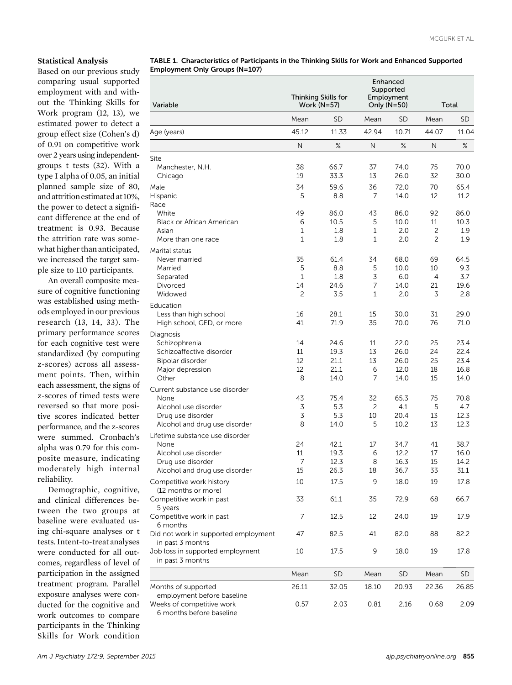# Statistical Analysis

Based on our previous study comparing usual supported employment with and without the Thinking Skills for Work program (12, 13), we estimated power to detect a group effect size (Cohen's d) of 0.91 on competitive work over 2 years using independentgroups t tests (32). With a type I alpha of 0.05, an initial planned sample size of 80, and attritionestimated at 10%, the power to detect a significant difference at the end of treatment is 0.93. Because the attrition rate was somewhat higher than anticipated, we increased the target sample size to 110 participants.

An overall composite measure of cognitive functioning was established using methods employed in our previous research (13, 14, 33). The primary performance scores for each cognitive test were standardized (by computing z-scores) across all assessment points. Then, within each assessment, the signs of z-scores of timed tests were reversed so that more positive scores indicated better performance, and the z-scores were summed. Cronbach's alpha was 0.79 for this composite measure, indicating moderately high internal reliability.

Demographic, cognitive, and clinical differences between the two groups at baseline were evaluated using chi-square analyses or t tests. Intent-to-treat analyses were conducted for all outcomes, regardless of level of participation in the assigned treatment program. Parallel exposure analyses were conducted for the cognitive and work outcomes to compare participants in the Thinking Skills for Work condition

TABLE 1. Characteristics of Participants in the Thinking Skills for Work and Enhanced Supported Employment Only Groups (N=107)

| Variable                                                                            |                   | Thinking Skills for<br>Work ( $N=57$ ) | Enhanced<br>Supported<br>Employment<br>Only (N=50) |              | Total                |              |
|-------------------------------------------------------------------------------------|-------------------|----------------------------------------|----------------------------------------------------|--------------|----------------------|--------------|
|                                                                                     | Mean              | <b>SD</b>                              | Mean                                               | <b>SD</b>    | Mean                 | SD           |
| Age (years)                                                                         | 45.12             | 11.33                                  | 42.94                                              | 10.71        | 44.07                | 11.04        |
|                                                                                     | N                 | $\%$                                   | N                                                  | $\%$         | N                    | $\%$         |
| Site                                                                                |                   |                                        |                                                    |              |                      |              |
| Manchester, N.H.<br>Chicago                                                         | 38<br>19          | 66.7<br>33.3                           | 37<br>13                                           | 74.0<br>26.0 | 75<br>32             | 70.0<br>30.0 |
| Male                                                                                | 34                | 59.6                                   | 36                                                 | 72.0         | 70                   | 65.4         |
| Hispanic<br>Race<br>White                                                           | 5                 | 8.8                                    | 7                                                  | 14.0         | 12                   | 11.2         |
| Black or African American                                                           | 49<br>6           | 86.0<br>10.5                           | 43<br>5                                            | 86.0<br>10.0 | 92<br>11             | 86.0<br>10.3 |
| Asian                                                                               | 1                 | 1.8                                    | $1\,$                                              | 2.0          | $\overline{c}$       | 1.9          |
| More than one race                                                                  | 1                 | 1.8                                    | 1                                                  | 2.0          | 2                    | 1.9          |
| Marital status                                                                      |                   |                                        |                                                    |              |                      |              |
| Never married                                                                       | 35                | 61.4                                   | 34                                                 | 68.0         | 69                   | 64.5         |
| Married<br>Separated                                                                | 5<br>$\mathbf{1}$ | 8.8<br>1.8                             | 5<br>3                                             | 10.0<br>6.0  | 10<br>$\overline{4}$ | 9.3<br>3.7   |
| Divorced                                                                            | 14                | 24.6                                   | 7                                                  | 14.0         | 21                   | 19.6         |
| Widowed                                                                             | 2                 | 3.5                                    | 1                                                  | 2.0          | 3                    | 2.8          |
| Education<br>Less than high school                                                  | 16                | 28.1                                   | 15                                                 | 30.0         | 31                   | 29.0         |
| High school, GED, or more                                                           | 41                | 71.9                                   | 35                                                 | 70.0         | 76                   | 71.0         |
| Diagnosis<br>Schizophrenia                                                          | 14                | 24.6                                   | 11                                                 | 22.0         | 25                   | 23.4         |
| Schizoaffective disorder                                                            | 11                | 19.3                                   | 13                                                 | 26.0         | 24                   | 22.4         |
| Bipolar disorder                                                                    | 12                | 21.1                                   | 13                                                 | 26.0         | 25                   | 23.4         |
| Major depression                                                                    | 12                | 21.1                                   | 6                                                  | 12.0         | 18                   | 16.8         |
| Other                                                                               | 8                 | 14.0                                   | 7                                                  | 14.0         | 15                   | 14.0         |
| Current substance use disorder                                                      |                   |                                        |                                                    |              |                      |              |
| None<br>Alcohol use disorder                                                        | 43<br>3           | 75.4<br>5.3                            | 32<br>2                                            | 65.3<br>4.1  | 75<br>5              | 70.8<br>4.7  |
| Drug use disorder                                                                   | 3                 | 5.3                                    | 10                                                 | 20.4         | 13                   | 12.3         |
| Alcohol and drug use disorder                                                       | 8                 | 14.0                                   | 5                                                  | 10.2         | 13                   | 12.3         |
| Lifetime substance use disorder                                                     |                   |                                        |                                                    |              |                      |              |
| None                                                                                | 24                | 42.1                                   | 17                                                 | 34.7         | 41                   | 38.7         |
| Alcohol use disorder                                                                | 11                | 19.3                                   | 6                                                  | 12.2         | 17                   | 16.0         |
| Drug use disorder<br>Alcohol and drug use disorder                                  | 7<br>15           | 12.3<br>26.3                           | 8<br>18                                            | 16.3<br>36.7 | 15<br>33             | 14.2<br>31.1 |
| Competitive work history                                                            | 10                | 17.5                                   | 9                                                  | 18.0         | 19                   | 17.8         |
| (12 months or more)                                                                 |                   |                                        |                                                    |              |                      |              |
| Competitive work in past<br>5 years                                                 | 33                | 61.1                                   | 35                                                 | 72.9         | 68                   | 66.7         |
| Competitive work in past<br>6 months                                                | 7                 | 12.5                                   | 12                                                 | 24.0         | 19                   | 17.9         |
| Did not work in supported employment                                                | 47                | 82.5                                   | 41                                                 | 82.0         | 88                   | 82.2         |
| in past 3 months<br>Job loss in supported employment<br>in past 3 months            | 10                | 17.5                                   | 9                                                  | 18.0         | 19                   | 17.8         |
|                                                                                     | Mean              | <b>SD</b>                              | Mean                                               | SD           | Mean                 | <b>SD</b>    |
| Months of supported                                                                 | 26.11             | 32.05                                  | 18.10                                              | 20.93        | 22.36                | 26.85        |
| employment before baseline<br>Weeks of competitive work<br>6 months before baseline | 0.57              | 2.03                                   | 0.81                                               | 2.16         | 0.68                 | 2.09         |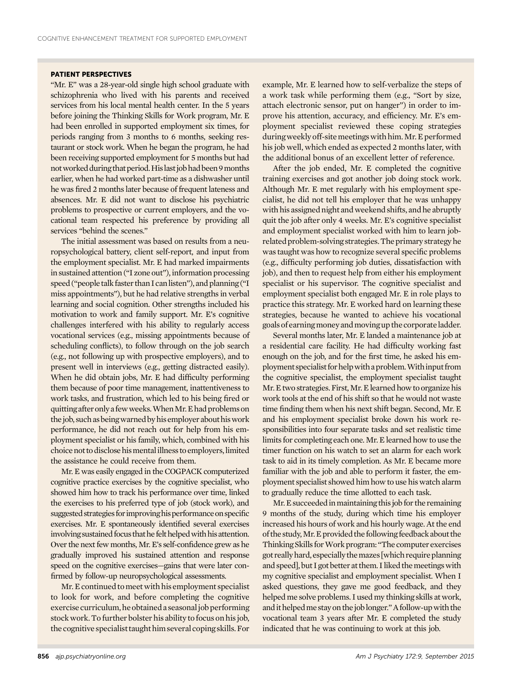# PATIENT PERSPECTIVES

"Mr. E" was a 28-year-old single high school graduate with schizophrenia who lived with his parents and received services from his local mental health center. In the 5 years before joining the Thinking Skills for Work program, Mr. E had been enrolled in supported employment six times, for periods ranging from 3 months to 6 months, seeking restaurant or stock work. When he began the program, he had been receiving supported employment for 5 months but had not worked during that period. His last job had been 9 months earlier, when he had worked part-time as a dishwasher until he was fired 2 months later because of frequent lateness and absences. Mr. E did not want to disclose his psychiatric problems to prospective or current employers, and the vocational team respected his preference by providing all services "behind the scenes."

The initial assessment was based on results from a neuropsychological battery, client self-report, and input from the employment specialist. Mr. E had marked impairments in sustained attention ("I zone out"), information processing speed ("people talk faster than I can listen"), and planning ("I miss appointments"), but he had relative strengths in verbal learning and social cognition. Other strengths included his motivation to work and family support. Mr. E's cognitive challenges interfered with his ability to regularly access vocational services (e.g., missing appointments because of scheduling conflicts), to follow through on the job search (e.g., not following up with prospective employers), and to present well in interviews (e.g., getting distracted easily). When he did obtain jobs, Mr. E had difficulty performing them because of poor time management, inattentiveness to work tasks, and frustration, which led to his being fired or quitting after only a few weeks. When Mr. E had problems on the job, such as being warned by his employer about his work performance, he did not reach out for help from his employment specialist or his family, which, combined with his choice not to disclose hismentalillness to employers,limited the assistance he could receive from them.

Mr. E was easily engaged in the COGPACK computerized cognitive practice exercises by the cognitive specialist, who showed him how to track his performance over time, linked the exercises to his preferred type of job (stock work), and suggested strategies for improving his performance on specific exercises. Mr. E spontaneously identified several exercises involving sustained focus that he felt helped with his attention. Over the next few months, Mr. E's self-confidence grew as he gradually improved his sustained attention and response speed on the cognitive exercises—gains that were later confirmed by follow-up neuropsychological assessments.

Mr. E continued to meet with his employment specialist to look for work, and before completing the cognitive exercise curriculum, he obtained a seasonal job performing stock work. To further bolster his ability to focus on his job, the cognitive specialist taught him several coping skills. For

example, Mr. E learned how to self-verbalize the steps of a work task while performing them (e.g., "Sort by size, attach electronic sensor, put on hanger") in order to improve his attention, accuracy, and efficiency. Mr. E's employment specialist reviewed these coping strategies duringweekly off-sitemeetings with him.Mr. E performed his job well, which ended as expected 2 months later, with the additional bonus of an excellent letter of reference.

After the job ended, Mr. E completed the cognitive training exercises and got another job doing stock work. Although Mr. E met regularly with his employment specialist, he did not tell his employer that he was unhappy with his assigned night and weekend shifts, and he abruptly quit the job after only 4 weeks. Mr. E's cognitive specialist and employment specialist worked with him to learn jobrelated problem-solving strategies.The primary strategy he was taught was how to recognize several specific problems (e.g., difficulty performing job duties, dissatisfaction with job), and then to request help from either his employment specialist or his supervisor. The cognitive specialist and employment specialist both engaged Mr. E in role plays to practice this strategy. Mr. E worked hard on learning these strategies, because he wanted to achieve his vocational goals of earningmoneyandmoving up the corporateladder.

Several months later, Mr. E landed a maintenance job at a residential care facility. He had difficulty working fast enough on the job, and for the first time, he asked his employment specialist forhelpwithaproblem.Withinput from the cognitive specialist, the employment specialist taught Mr. E two strategies. First, Mr. E learned how to organize his work tools at the end of his shift so that he would not waste time finding them when his next shift began. Second, Mr. E and his employment specialist broke down his work responsibilities into four separate tasks and set realistic time limits for completing each one.Mr. E learned how to use the timer function on his watch to set an alarm for each work task to aid in its timely completion. As Mr. E became more familiar with the job and able to perform it faster, the employment specialist showed him how to use his watch alarm to gradually reduce the time allotted to each task.

Mr. E succeeded in maintaining this job for the remaining 9 months of the study, during which time his employer increased his hours of work and his hourly wage. At the end of the study, Mr. E provided the following feedback about the Thinking Skills for Work program: "The computer exercises got really hard, especially the mazes [which require planning and speed], but I got better at them. I liked the meetings with my cognitive specialist and employment specialist. When I asked questions, they gave me good feedback, and they helped me solve problems. I used my thinking skills at work, and it helped me stay on the job longer." A follow-up with the vocational team 3 years after Mr. E completed the study indicated that he was continuing to work at this job.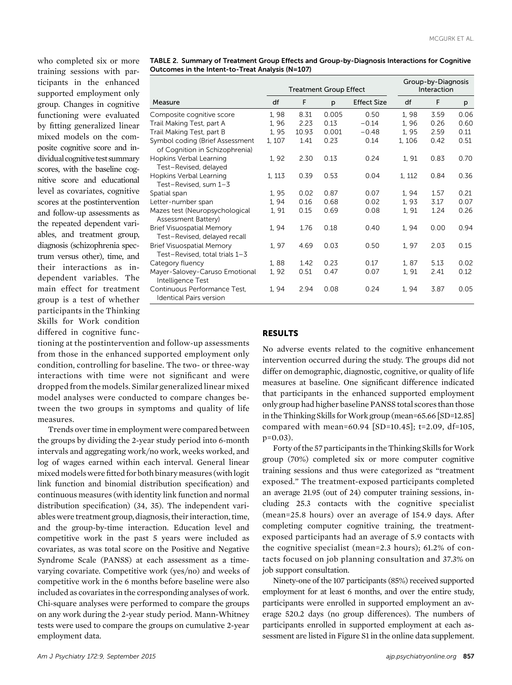who completed six or more training sessions with participants in the enhanced supported employment only group. Changes in cognitive functioning were evaluated by fitting generalized linear mixed models on the composite cognitive score and individual cognitive test summary scores, with the baseline cognitive score and educational level as covariates, cognitive scores at the postintervention and follow-up assessments as the repeated dependent variables, and treatment group, diagnosis (schizophrenia spectrum versus other), time, and their interactions as independent variables. The main effect for treatment group is a test of whether participants in the Thinking Skills for Work condition differed in cognitive func-

|                                                                    | <b>Treatment Group Effect</b> |       |       |                    | Group-by-Diagnosis<br>Interaction |      |      |
|--------------------------------------------------------------------|-------------------------------|-------|-------|--------------------|-----------------------------------|------|------|
| Measure                                                            | df                            | F     | p     | <b>Effect Size</b> | df                                | F    | p    |
| Composite cognitive score                                          | 1.98                          | 8.31  | 0.005 | 0.50               | 1,98                              | 3.59 | 0.06 |
| Trail Making Test, part A                                          | 1.96                          | 2.23  | 0.13  | $-0.14$            | 1.96                              | 0.26 | 0.60 |
| Trail Making Test, part B                                          | 1,95                          | 10.93 | 0.001 | $-0.48$            | 1,95                              | 2.59 | 0.11 |
| Symbol coding (Brief Assessment<br>of Cognition in Schizophrenia)  | 1, 107                        | 1.41  | 0.23  | 0.14               | 1, 106                            | 0.42 | 0.51 |
| Hopkins Verbal Learning<br>Test-Revised, delayed                   | 1, 92                         | 2.30  | 0.13  | 0.24               | 1, 91                             | 0.83 | 0.70 |
| Hopkins Verbal Learning<br>Test-Revised, sum 1-3                   | 1, 113                        | 0.39  | 0.53  | 0.04               | 1, 112                            | 0.84 | 0.36 |
| Spatial span                                                       | 1.95                          | 0.02  | 0.87  | 0.07               | 1, 94                             | 1.57 | 0.21 |
| Letter-number span                                                 | 1, 94                         | 0.16  | 0.68  | 0.02               | 1, 93                             | 3.17 | 0.07 |
| Mazes test (Neuropsychological<br>Assessment Battery)              | 1, 91                         | 0.15  | 0.69  | 0.08               | 1, 91                             | 1.24 | 0.26 |
| <b>Brief Visuospatial Memory</b><br>Test-Revised, delayed recall   | 1, 94                         | 1.76  | 0.18  | 0.40               | 1, 94                             | 0.00 | 0.94 |
| <b>Brief Visuospatial Memory</b><br>Test-Revised, total trials 1-3 | 1, 97                         | 4.69  | 0.03  | 0.50               | 1, 97                             | 2.03 | 0.15 |
| Category fluency                                                   | 1,88                          | 1.42  | 0.23  | 0.17               | 1.87                              | 5.13 | 0.02 |
| Mayer-Salovey-Caruso Emotional<br>Intelligence Test                | 1,92                          | 0.51  | 0.47  | 0.07               | 1, 91                             | 2.41 | 0.12 |
| Continuous Performance Test.<br><b>Identical Pairs version</b>     | 1, 94                         | 2.94  | 0.08  | 0.24               | 1, 94                             | 3.87 | 0.05 |

TABLE 2. Summary of Treatment Group Effects and Group-by-Diagnosis Interactions for Cognitive Outcomes in the Intent-to-Treat Analysis (N=107)

tioning at the postintervention and follow-up assessments from those in the enhanced supported employment only condition, controlling for baseline. The two- or three-way interactions with time were not significant and were dropped from the models. Similar generalized linear mixed model analyses were conducted to compare changes between the two groups in symptoms and quality of life measures.

Trends over time in employment were compared between the groups by dividing the 2-year study period into 6-month intervals and aggregating work/no work, weeks worked, and log of wages earned within each interval. General linear mixed models were fitted for both binary measures (with logit link function and binomial distribution specification) and continuous measures (with identity link function and normal distribution specification) (34, 35). The independent variables were treatment group, diagnosis, their interaction, time, and the group-by-time interaction. Education level and competitive work in the past 5 years were included as covariates, as was total score on the Positive and Negative Syndrome Scale (PANSS) at each assessment as a timevarying covariate. Competitive work (yes/no) and weeks of competitive work in the 6 months before baseline were also included as covariates in the corresponding analyses of work. Chi-square analyses were performed to compare the groups on any work during the 2-year study period. Mann-Whitney tests were used to compare the groups on cumulative 2-year employment data.

# RESULTS

No adverse events related to the cognitive enhancement intervention occurred during the study. The groups did not differ on demographic, diagnostic, cognitive, or quality of life measures at baseline. One significant difference indicated that participants in the enhanced supported employment only group had higher baseline PANSS total scores than those in the Thinking Skills for Work group (mean=65.66 [SD=12.85] compared with mean=60.94 [SD=10.45]; t=2.09, df=105,  $p=0.03$ ).

Forty of the 57 participants in the Thinking Skills for Work group (70%) completed six or more computer cognitive training sessions and thus were categorized as "treatment exposed." The treatment-exposed participants completed an average 21.95 (out of 24) computer training sessions, including 25.3 contacts with the cognitive specialist (mean=25.8 hours) over an average of 154.9 days. After completing computer cognitive training, the treatmentexposed participants had an average of 5.9 contacts with the cognitive specialist (mean=2.3 hours); 61.2% of contacts focused on job planning consultation and 37.3% on job support consultation.

Ninety-one of the 107 participants (85%) received supported employment for at least 6 months, and over the entire study, participants were enrolled in supported employment an average 520.2 days (no group differences). The numbers of participants enrolled in supported employment at each assessment are listed in Figure S1 in the online data supplement.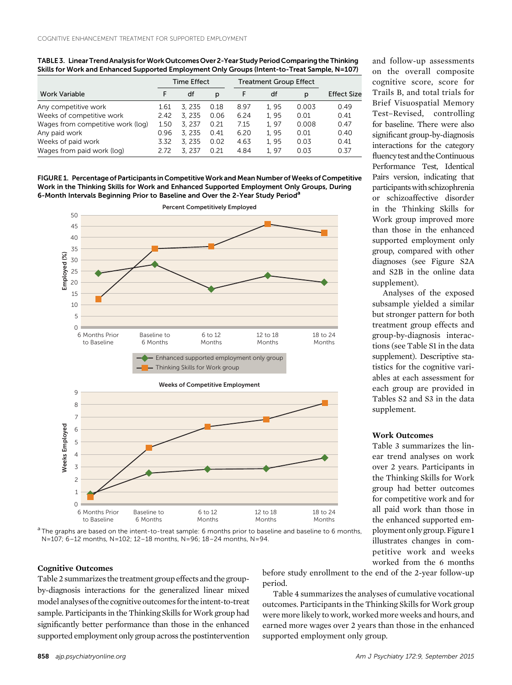|                                   |                    |        | -    |      |                               |       |                    |
|-----------------------------------|--------------------|--------|------|------|-------------------------------|-------|--------------------|
|                                   | <b>Time Effect</b> |        |      |      | <b>Treatment Group Effect</b> |       |                    |
| <b>Work Variable</b>              | F                  | df     | p    | F    | df                            | p     | <b>Effect Size</b> |
| Any competitive work              | 1.61               | 3, 235 | 0.18 | 8.97 | 1.95                          | 0.003 | 0.49               |
| Weeks of competitive work         | 2.42               | 3.235  | 0.06 | 6.24 | 1.95                          | 0.01  | 0.41               |
| Wages from competitive work (log) | 1.50               | 3.237  | 0.21 | 7.15 | 1.97                          | 0.008 | 0.47               |
| Any paid work                     | 0.96               | 3.235  | 0.41 | 6.20 | 1.95                          | 0.01  | 0.40               |
| Weeks of paid work                | 3.32               | 3.235  | 0.02 | 4.63 | 1.95                          | 0.03  | 0.41               |
| Wages from paid work (log)        | 2.72               | 3.237  | 0.21 | 4.84 | 1.97                          | 0.03  | 0.37               |

TABLE 3. Linear Trend Analysis for Work Outcomes Over 2-Year Study Period Comparing the Thinking Skills for Work and Enhanced Supported Employment Only Groups (Intent-to-Treat Sample, N=107)

FIGURE 1. Percentage of Participants in Competitive Work and Mean Number of Weeks of Competitive Work in the Thinking Skills for Work and Enhanced Supported Employment Only Groups, During 6-Month Intervals Beginning Prior to Baseline and Over the 2-Year Study Period<sup>a</sup>



and follow-up assessments on the overall composite cognitive score, score for Trails B, and total trials for Brief Visuospatial Memory Test–Revised, controlling for baseline. There were also significant group-by-diagnosis interactions for the category fluency test and the Continuous Performance Test, Identical Pairs version, indicating that participantswith schizophrenia or schizoaffective disorder in the Thinking Skills for Work group improved more than those in the enhanced supported employment only group, compared with other diagnoses (see Figure S2A and S2B in the online data supplement).

Analyses of the exposed subsample yielded a similar but stronger pattern for both treatment group effects and group-by-diagnosis interactions (see Table S1 in the data supplement). Descriptive statistics for the cognitive variables at each assessment for each group are provided in Tables S2 and S3 in the data supplement.

#### Work Outcomes

Table 3 summarizes the linear trend analyses on work over 2 years. Participants in the Thinking Skills for Work group had better outcomes for competitive work and for all paid work than those in the enhanced supported employment onlygroup. Figure 1 illustrates changes in competitive work and weeks worked from the 6 months

 $a$  The graphs are based on the intent-to-treat sample: 6 months prior to baseline and baseline to 6 months, N=107; 6–12 months, N=102; 12–18 months, N=96; 18–24 months, N=94.

#### Cognitive Outcomes

Table 2 summarizes the treatment group effects and the groupby-diagnosis interactions for the generalized linear mixed model analyses of the cognitive outcomes for the intent-to-treat sample. Participants in the Thinking Skills for Work group had significantly better performance than those in the enhanced supported employment only group across the postintervention before study enrollment to the end of the 2-year follow-up period.

Table 4 summarizes the analyses of cumulative vocational outcomes. Participants in the Thinking Skills for Work group were more likely to work, worked more weeks and hours, and earned more wages over 2 years than those in the enhanced supported employment only group.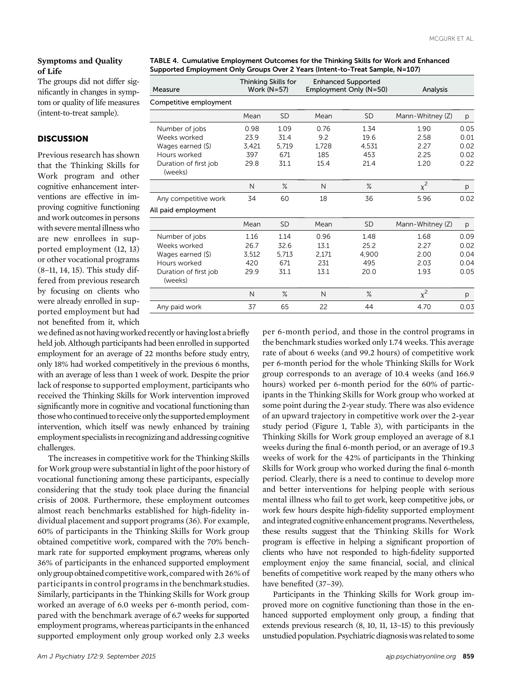# Symptoms and Quality of Life

The groups did not differ significantly in changes in symptom or quality of life measures (intent-to-treat sample).

## **DISCUSSION**

Previous research has shown that the Thinking Skills for Work program and other cognitive enhancement interventions are effective in improving cognitive functioning and work outcomes in persons with severe mental illness who are new enrollees in supported employment (12, 13) or other vocational programs (8–11, 14, 15). This study differed from previous research by focusing on clients who were already enrolled in supported employment but had not benefited from it, which

TABLE 4. Cumulative Employment Outcomes for the Thinking Skills for Work and Enhanced Supported Employment Only Groups Over 2 Years (Intent-to-Treat Sample, N=107)

| Measure                          |       | Thinking Skills for<br><b>Enhanced Supported</b><br>Employment Only (N=50)<br>Work $(N=57)$ |       | Analysis  |                  |      |
|----------------------------------|-------|---------------------------------------------------------------------------------------------|-------|-----------|------------------|------|
| Competitive employment           |       |                                                                                             |       |           |                  |      |
|                                  | Mean  | <b>SD</b>                                                                                   | Mean  | <b>SD</b> | Mann-Whitney (Z) | p    |
| Number of jobs                   | 0.98  | 1.09                                                                                        | 0.76  | 1.34      | 1.90             | 0.05 |
| Weeks worked                     | 23.9  | 31.4                                                                                        | 9.2   | 19.6      | 2.58             | 0.01 |
| Wages earned (\$)                | 3.421 | 5.719                                                                                       | 1.728 | 4.531     | 2.27             | 0.02 |
| Hours worked                     | 397   | 671                                                                                         | 185   | 453       | 2.25             | 0.02 |
| Duration of first job<br>(weeks) | 29.8  | 31.1                                                                                        | 15.4  | 21.4      | 1.20             | 0.22 |
|                                  | N     | $\%$                                                                                        | N     | $\%$      | $x^2$            | p    |
| Any competitive work             | 34    | 60                                                                                          | 18    | 36        | 5.96             | 0.02 |
| All paid employment              |       |                                                                                             |       |           |                  |      |
|                                  | Mean  | <b>SD</b>                                                                                   | Mean  | <b>SD</b> | Mann-Whitney (Z) | р    |
| Number of jobs                   | 1.16  | 1.14                                                                                        | 0.96  | 1.48      | 1.68             | 0.09 |
| Weeks worked                     | 26.7  | 32.6                                                                                        | 13.1  | 25.2      | 2.27             | 0.02 |
| Wages earned (\$)                | 3.512 | 5,713                                                                                       | 2.171 | 4.900     | 2.00             | 0.04 |
| Hours worked                     | 420   | 671                                                                                         | 231   | 495       | 2.03             | 0.04 |
| Duration of first job<br>(weeks) | 29.9  | 31.1                                                                                        | 13.1  | 20.0      | 1.93             | 0.05 |
|                                  | N     | $\%$                                                                                        | N     | $\%$      | $\chi^2$         | p    |
| Any paid work                    | 37    | 65                                                                                          | 22    | 44        | 4.70             | 0.03 |

we defined as not havingworked recently or havinglost a briefly held job. Although participants had been enrolled in supported employment for an average of 22 months before study entry, only 18% had worked competitively in the previous 6 months, with an average of less than 1 week of work. Despite the prior lack of response to supported employment, participants who received the Thinking Skills for Work intervention improved significantly more in cognitive and vocational functioning than those who continued to receive only the supported employment intervention, which itself was newly enhanced by training employment specialists in recognizing and addressing cognitive challenges.

The increases in competitive work for the Thinking Skills for Work group were substantial in light of the poor history of vocational functioning among these participants, especially considering that the study took place during the financial crisis of 2008. Furthermore, these employment outcomes almost reach benchmarks established for high-fidelity individual placement and support programs (36). For example, 60% of participants in the Thinking Skills for Work group obtained competitive work, compared with the 70% benchmark rate for supported employment programs, whereas only 36% of participants in the enhanced supported employment onlygroup obtained competitive work, compared with 26% of participants in control programs in the benchmark studies. Similarly, participants in the Thinking Skills for Work group worked an average of 6.0 weeks per 6-month period, compared with the benchmark average of 6.7 weeks for supported employment programs, whereas participants in the enhanced supported employment only group worked only 2.3 weeks

per 6-month period, and those in the control programs in the benchmark studies worked only 1.74 weeks. This average rate of about 6 weeks (and 99.2 hours) of competitive work per 6-month period for the whole Thinking Skills for Work group corresponds to an average of 10.4 weeks (and 166.9 hours) worked per 6-month period for the 60% of participants in the Thinking Skills for Work group who worked at some point during the 2-year study. There was also evidence of an upward trajectory in competitive work over the 2-year study period (Figure 1, Table 3), with participants in the Thinking Skills for Work group employed an average of 8.1 weeks during the final 6-month period, or an average of 19.3 weeks of work for the 42% of participants in the Thinking Skills for Work group who worked during the final 6-month period. Clearly, there is a need to continue to develop more and better interventions for helping people with serious mental illness who fail to get work, keep competitive jobs, or work few hours despite high-fidelity supported employment and integrated cognitive enhancement programs. Nevertheless, these results suggest that the Thinking Skills for Work program is effective in helping a significant proportion of clients who have not responded to high-fidelity supported employment enjoy the same financial, social, and clinical benefits of competitive work reaped by the many others who have benefited (37–39).

Participants in the Thinking Skills for Work group improved more on cognitive functioning than those in the enhanced supported employment only group, a finding that extends previous research (8, 10, 11, 13–15) to this previously unstudied population. Psychiatric diagnosis was related to some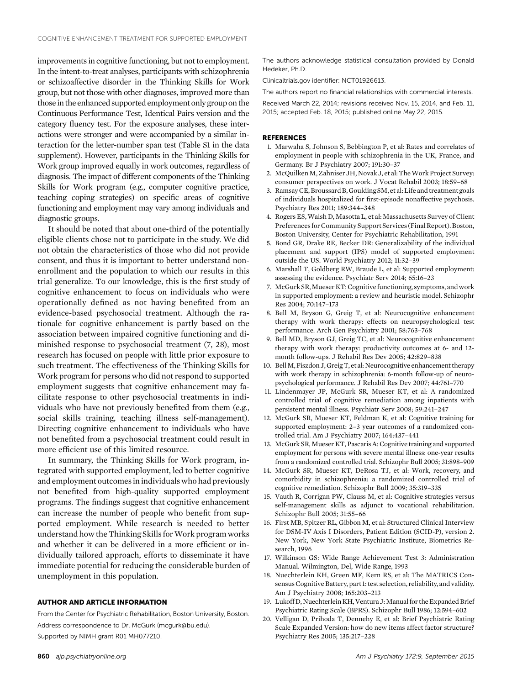improvements in cognitive functioning, but not to employment. In the intent-to-treat analyses, participants with schizophrenia or schizoaffective disorder in the Thinking Skills for Work group, but not those with other diagnoses, improved more than those in the enhanced supported employment only group on the Continuous Performance Test, Identical Pairs version and the category fluency test. For the exposure analyses, these interactions were stronger and were accompanied by a similar interaction for the letter-number span test (Table S1 in the data supplement). However, participants in the Thinking Skills for Work group improved equally in work outcomes, regardless of diagnosis. The impact of different components of the Thinking Skills for Work program (e.g., computer cognitive practice, teaching coping strategies) on specific areas of cognitive functioning and employment may vary among individuals and diagnostic groups.

It should be noted that about one-third of the potentially eligible clients chose not to participate in the study. We did not obtain the characteristics of those who did not provide consent, and thus it is important to better understand nonenrollment and the population to which our results in this trial generalize. To our knowledge, this is the first study of cognitive enhancement to focus on individuals who were operationally defined as not having benefited from an evidence-based psychosocial treatment. Although the rationale for cognitive enhancement is partly based on the association between impaired cognitive functioning and diminished response to psychosocial treatment (7, 28), most research has focused on people with little prior exposure to such treatment. The effectiveness of the Thinking Skills for Work program for persons who did not respond to supported employment suggests that cognitive enhancement may facilitate response to other psychosocial treatments in individuals who have not previously benefited from them (e.g., social skills training, teaching illness self-management). Directing cognitive enhancement to individuals who have not benefited from a psychosocial treatment could result in more efficient use of this limited resource.

In summary, the Thinking Skills for Work program, integrated with supported employment, led to better cognitive and employment outcomes in individuals who had previously not benefited from high-quality supported employment programs. The findings suggest that cognitive enhancement can increase the number of people who benefit from supported employment. While research is needed to better understand how the Thinking Skills for Work program works and whether it can be delivered in a more efficient or individually tailored approach, efforts to disseminate it have immediate potential for reducing the considerable burden of unemployment in this population.

#### AUTHOR AND ARTICLE INFORMATION

From the Center for Psychiatric Rehabilitation, Boston University, Boston. Address correspondence to Dr. McGurk ([mcgurk@bu.edu\)](mailto:mcgurk@bu.edu). Supported by NIMH grant R01 MH077210.

The authors acknowledge statistical consultation provided by Donald Hedeker, Ph.D.

Clinicaltrials.gov identifier: NCT01926613.

The authors report no financial relationships with commercial interests.

Received March 22, 2014; revisions received Nov. 15, 2014, and Feb. 11, 2015; accepted Feb. 18, 2015; published online May 22, 2015.

#### **REFERENCES**

- 1. Marwaha S, Johnson S, Bebbington P, et al: Rates and correlates of employment in people with schizophrenia in the UK, France, and Germany. Br J Psychiatry 2007; 191:30–37
- 2. McQuilkenM, Zahniser JH, Novak J, et al: TheWork Project Survey: consumer perspectives on work. J Vocat Rehabil 2003; 18:59–68
- 3. RamsayCE, Broussard B, Goulding SM, et al: Life and treatment goals of individuals hospitalized for first-episode nonaffective psychosis. Psychiatry Res 2011; 189:344–348
- 4. Rogers ES,Walsh D, Masotta L, et al: Massachusetts Survey of Client Preferences for Community Support Services (Final Report). Boston, Boston University, Center for Psychiatric Rehabilitation, 1991
- 5. Bond GR, Drake RE, Becker DR: Generalizability of the individual placement and support (IPS) model of supported employment outside the US. World Psychiatry 2012; 11:32–39
- 6. Marshall T, Goldberg RW, Braude L, et al: Supported employment: assessing the evidence. Psychiatr Serv 2014; 65:16–23
- 7. McGurk SR,Mueser KT:Cognitive functioning, symptoms, andwork in supported employment: a review and heuristic model. Schizophr Res 2004; 70:147–173
- 8. Bell M, Bryson G, Greig T, et al: Neurocognitive enhancement therapy with work therapy: effects on neuropsychological test performance. Arch Gen Psychiatry 2001; 58:763–768
- 9. Bell MD, Bryson GJ, Greig TC, et al: Neurocognitive enhancement therapy with work therapy: productivity outcomes at 6- and 12 month follow-ups. J Rehabil Res Dev 2005; 42:829–838
- 10. BellM, Fiszdon J, GreigT, et al: Neurocognitive enhancement therapy with work therapy in schizophrenia: 6-month follow-up of neuropsychological performance. J Rehabil Res Dev 2007; 44:761–770
- 11. Lindenmayer JP, McGurk SR, Mueser KT, et al: A randomized controlled trial of cognitive remediation among inpatients with persistent mental illness. Psychiatr Serv 2008; 59:241–247
- 12. McGurk SR, Mueser KT, Feldman K, et al: Cognitive training for supported employment: 2–3 year outcomes of a randomized controlled trial. Am J Psychiatry 2007; 164:437–441
- 13. McGurk SR, Mueser KT, Pascaris A: Cognitive training and supported employment for persons with severe mental illness: one-year results from a randomized controlled trial. Schizophr Bull 2005; 31:898–909
- 14. McGurk SR, Mueser KT, DeRosa TJ, et al: Work, recovery, and comorbidity in schizophrenia: a randomized controlled trial of cognitive remediation. Schizophr Bull 2009; 35:319–335
- 15. Vauth R, Corrigan PW, Clauss M, et al: Cognitive strategies versus self-management skills as adjunct to vocational rehabilitation. Schizophr Bull 2005; 31:55–66
- 16. First MB, Spitzer RL, Gibbon M, et al: Structured Clinical Interview for DSM-IV Axis I Disorders, Patient Edition (SCID-P), version 2. New York, New York State Psychiatric Institute, Biometrics Research, 1996
- 17. Wilkinson GS: Wide Range Achievement Test 3: Administration Manual. Wilmington, Del, Wide Range, 1993
- 18. Nuechterlein KH, Green MF, Kern RS, et al: The MATRICS ConsensusCognitive Battery, part 1: test selection, reliability, and validity. Am J Psychiatry 2008; 165:203–213
- 19. Lukoff D, Nuechterlein KH, Ventura J:Manual for the Expanded Brief Psychiatric Rating Scale (BPRS). Schizophr Bull 1986; 12:594–602
- 20. Velligan D, Prihoda T, Dennehy E, et al: Brief Psychiatric Rating Scale Expanded Version: how do new items affect factor structure? Psychiatry Res 2005; 135:217–228